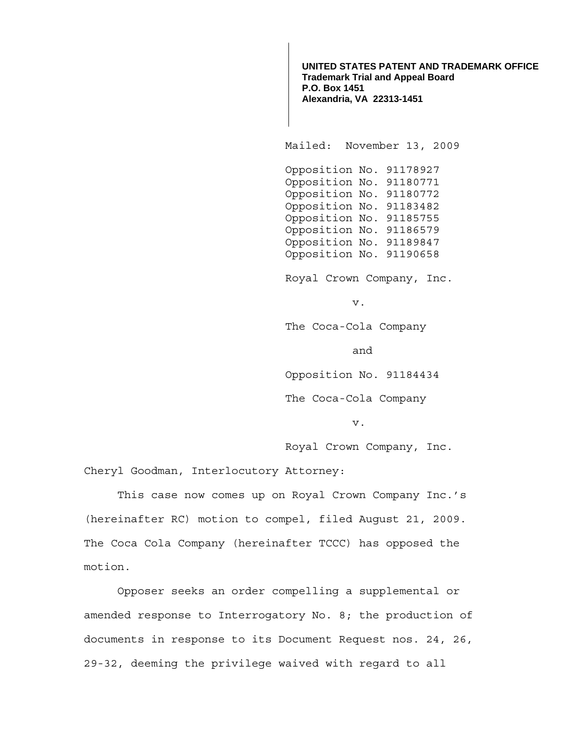**UNITED STATES PATENT AND TRADEMARK OFFICE Trademark Trial and Appeal Board P.O. Box 1451 Alexandria, VA 22313-1451**

Mailed: November 13, 2009

 Opposition No. 91178927 Opposition No. 91180771 Opposition No. 91180772 Opposition No. 91183482 Opposition No. 91185755 Opposition No. 91186579 Opposition No. 91189847 Opposition No. 91190658

Royal Crown Company, Inc.

v.

The Coca-Cola Company

and

Opposition No. 91184434

The Coca-Cola Company

v.

Royal Crown Company, Inc.

Cheryl Goodman, Interlocutory Attorney:

 This case now comes up on Royal Crown Company Inc.'s (hereinafter RC) motion to compel, filed August 21, 2009. The Coca Cola Company (hereinafter TCCC) has opposed the motion.

 Opposer seeks an order compelling a supplemental or amended response to Interrogatory No. 8; the production of documents in response to its Document Request nos. 24, 26, 29-32, deeming the privilege waived with regard to all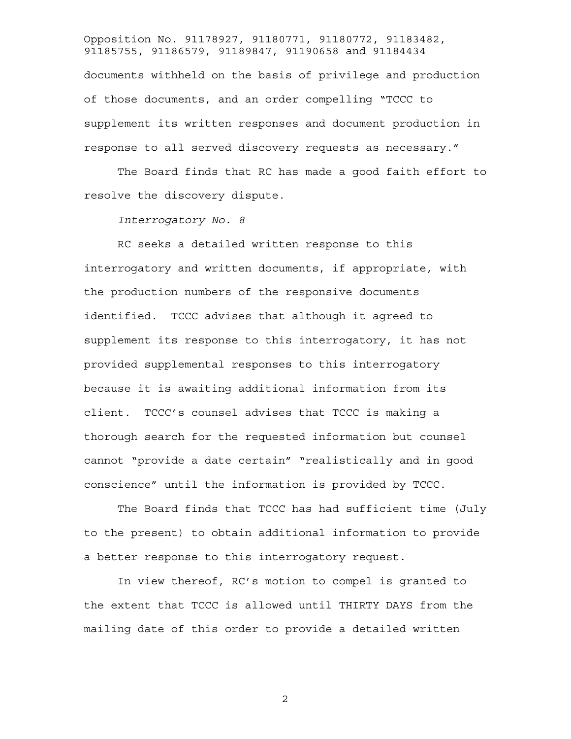Opposition No. 91178927, 91180771, 91180772, 91183482, 91185755, 91186579, 91189847, 91190658 and 91184434 documents withheld on the basis of privilege and production of those documents, and an order compelling "TCCC to supplement its written responses and document production in response to all served discovery requests as necessary."

 The Board finds that RC has made a good faith effort to resolve the discovery dispute.

*Interrogatory No. 8* 

 RC seeks a detailed written response to this interrogatory and written documents, if appropriate, with the production numbers of the responsive documents identified. TCCC advises that although it agreed to supplement its response to this interrogatory, it has not provided supplemental responses to this interrogatory because it is awaiting additional information from its client. TCCC's counsel advises that TCCC is making a thorough search for the requested information but counsel cannot "provide a date certain" "realistically and in good conscience" until the information is provided by TCCC.

 The Board finds that TCCC has had sufficient time (July to the present) to obtain additional information to provide a better response to this interrogatory request.

 In view thereof, RC's motion to compel is granted to the extent that TCCC is allowed until THIRTY DAYS from the mailing date of this order to provide a detailed written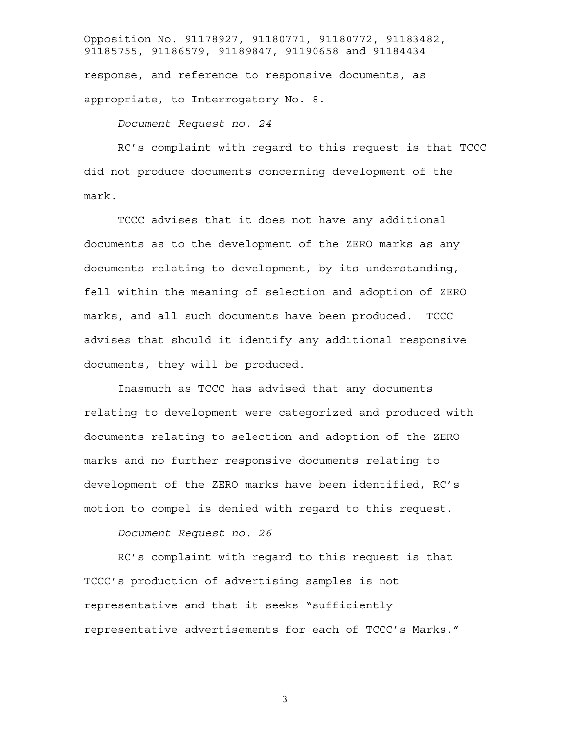Opposition No. 91178927, 91180771, 91180772, 91183482, 91185755, 91186579, 91189847, 91190658 and 91184434 response, and reference to responsive documents, as appropriate, to Interrogatory No. 8.

## *Document Request no. 24*

 RC's complaint with regard to this request is that TCCC did not produce documents concerning development of the mark.

 TCCC advises that it does not have any additional documents as to the development of the ZERO marks as any documents relating to development, by its understanding, fell within the meaning of selection and adoption of ZERO marks, and all such documents have been produced. TCCC advises that should it identify any additional responsive documents, they will be produced.

 Inasmuch as TCCC has advised that any documents relating to development were categorized and produced with documents relating to selection and adoption of the ZERO marks and no further responsive documents relating to development of the ZERO marks have been identified, RC's motion to compel is denied with regard to this request.

*Document Request no. 26* 

 RC's complaint with regard to this request is that TCCC's production of advertising samples is not representative and that it seeks "sufficiently representative advertisements for each of TCCC's Marks."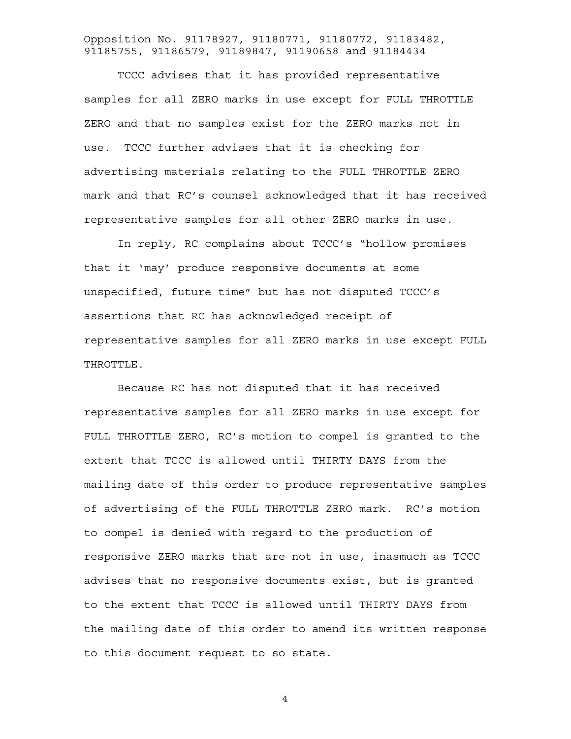TCCC advises that it has provided representative samples for all ZERO marks in use except for FULL THROTTLE ZERO and that no samples exist for the ZERO marks not in use. TCCC further advises that it is checking for advertising materials relating to the FULL THROTTLE ZERO mark and that RC's counsel acknowledged that it has received representative samples for all other ZERO marks in use.

 In reply, RC complains about TCCC's "hollow promises that it 'may' produce responsive documents at some unspecified, future time" but has not disputed TCCC's assertions that RC has acknowledged receipt of representative samples for all ZERO marks in use except FULL THROTTLE.

 Because RC has not disputed that it has received representative samples for all ZERO marks in use except for FULL THROTTLE ZERO, RC's motion to compel is granted to the extent that TCCC is allowed until THIRTY DAYS from the mailing date of this order to produce representative samples of advertising of the FULL THROTTLE ZERO mark. RC's motion to compel is denied with regard to the production of responsive ZERO marks that are not in use, inasmuch as TCCC advises that no responsive documents exist, but is granted to the extent that TCCC is allowed until THIRTY DAYS from the mailing date of this order to amend its written response to this document request to so state.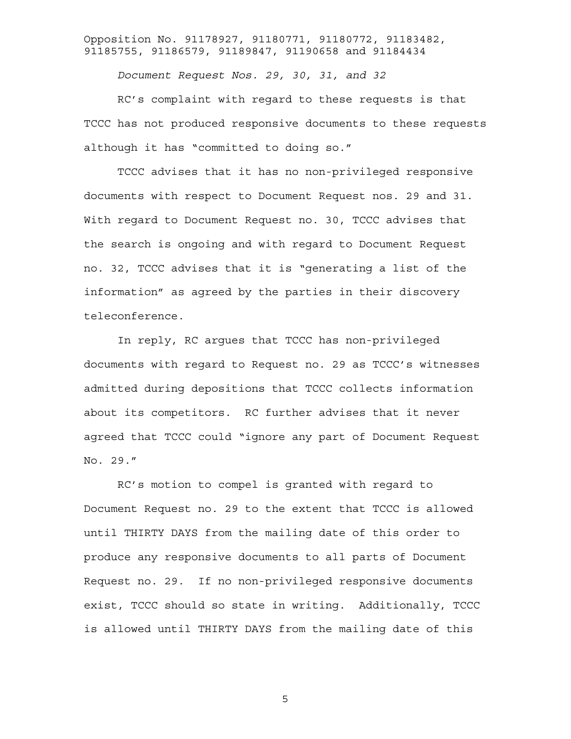*Document Request Nos. 29, 30, 31, and 32* 

RC's complaint with regard to these requests is that TCCC has not produced responsive documents to these requests although it has "committed to doing so."

TCCC advises that it has no non-privileged responsive documents with respect to Document Request nos. 29 and 31. With regard to Document Request no. 30, TCCC advises that the search is ongoing and with regard to Document Request no. 32, TCCC advises that it is "generating a list of the information" as agreed by the parties in their discovery teleconference.

In reply, RC argues that TCCC has non-privileged documents with regard to Request no. 29 as TCCC's witnesses admitted during depositions that TCCC collects information about its competitors. RC further advises that it never agreed that TCCC could "ignore any part of Document Request No. 29."

RC's motion to compel is granted with regard to Document Request no. 29 to the extent that TCCC is allowed until THIRTY DAYS from the mailing date of this order to produce any responsive documents to all parts of Document Request no. 29. If no non-privileged responsive documents exist, TCCC should so state in writing. Additionally, TCCC is allowed until THIRTY DAYS from the mailing date of this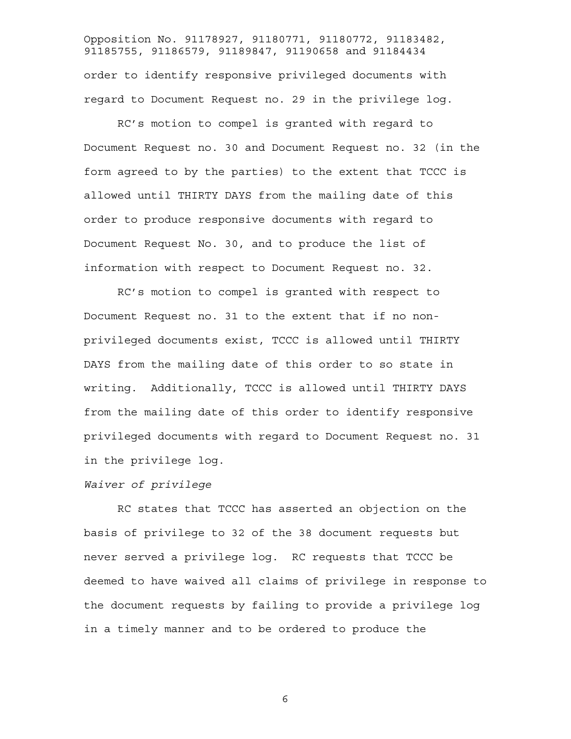Opposition No. 91178927, 91180771, 91180772, 91183482, 91185755, 91186579, 91189847, 91190658 and 91184434 order to identify responsive privileged documents with regard to Document Request no. 29 in the privilege log.

RC's motion to compel is granted with regard to Document Request no. 30 and Document Request no. 32 (in the form agreed to by the parties) to the extent that TCCC is allowed until THIRTY DAYS from the mailing date of this order to produce responsive documents with regard to Document Request No. 30, and to produce the list of information with respect to Document Request no. 32.

RC's motion to compel is granted with respect to Document Request no. 31 to the extent that if no nonprivileged documents exist, TCCC is allowed until THIRTY DAYS from the mailing date of this order to so state in writing. Additionally, TCCC is allowed until THIRTY DAYS from the mailing date of this order to identify responsive privileged documents with regard to Document Request no. 31 in the privilege log.

## *Waiver of privilege*

 RC states that TCCC has asserted an objection on the basis of privilege to 32 of the 38 document requests but never served a privilege log. RC requests that TCCC be deemed to have waived all claims of privilege in response to the document requests by failing to provide a privilege log in a timely manner and to be ordered to produce the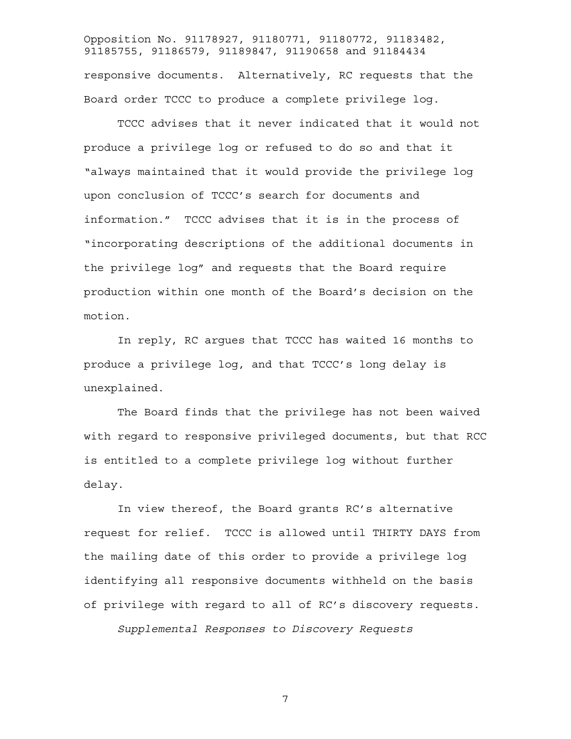Opposition No. 91178927, 91180771, 91180772, 91183482, 91185755, 91186579, 91189847, 91190658 and 91184434 responsive documents. Alternatively, RC requests that the Board order TCCC to produce a complete privilege log.

 TCCC advises that it never indicated that it would not produce a privilege log or refused to do so and that it "always maintained that it would provide the privilege log upon conclusion of TCCC's search for documents and information." TCCC advises that it is in the process of "incorporating descriptions of the additional documents in the privilege log" and requests that the Board require production within one month of the Board's decision on the motion.

 In reply, RC argues that TCCC has waited 16 months to produce a privilege log, and that TCCC's long delay is unexplained.

 The Board finds that the privilege has not been waived with regard to responsive privileged documents, but that RCC is entitled to a complete privilege log without further delay.

 In view thereof, the Board grants RC's alternative request for relief. TCCC is allowed until THIRTY DAYS from the mailing date of this order to provide a privilege log identifying all responsive documents withheld on the basis of privilege with regard to all of RC's discovery requests.

*Supplemental Responses to Discovery Requests*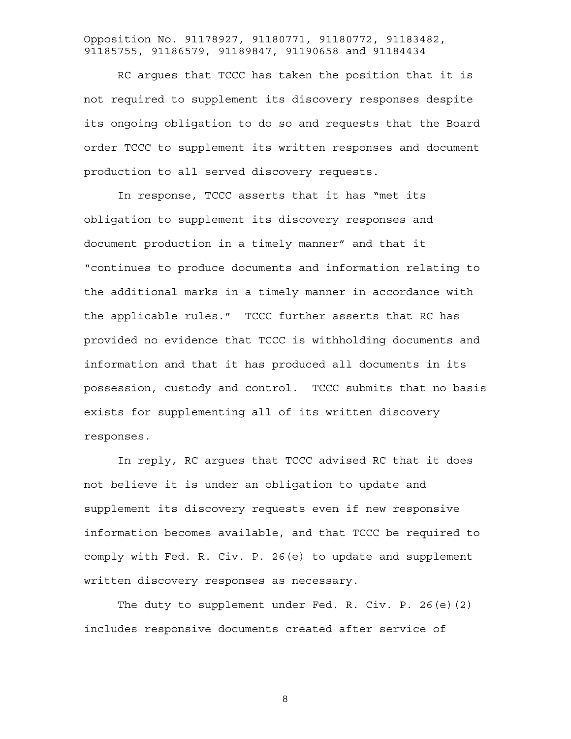RC argues that TCCC has taken the position that it is not required to supplement its discovery responses despite its ongoing obligation to do so and requests that the Board order TCCC to supplement its written responses and document production to all served discovery requests.

In response, TCCC asserts that it has "met its obligation to supplement its discovery responses and document production in a timely manner" and that it "continues to produce documents and information relating to the additional marks in a timely manner in accordance with the applicable rules." TCCC further asserts that RC has provided no evidence that TCCC is withholding documents and information and that it has produced all documents in its possession, custody and control. TCCC submits that no basis exists for supplementing all of its written discovery responses.

In reply, RC argues that TCCC advised RC that it does not believe it is under an obligation to update and supplement its discovery requests even if new responsive information becomes available, and that TCCC be required to comply with Fed. R. Civ. P. 26(e) to update and supplement written discovery responses as necessary.

The duty to supplement under Fed. R. Civ. P. 26(e)(2) includes responsive documents created after service of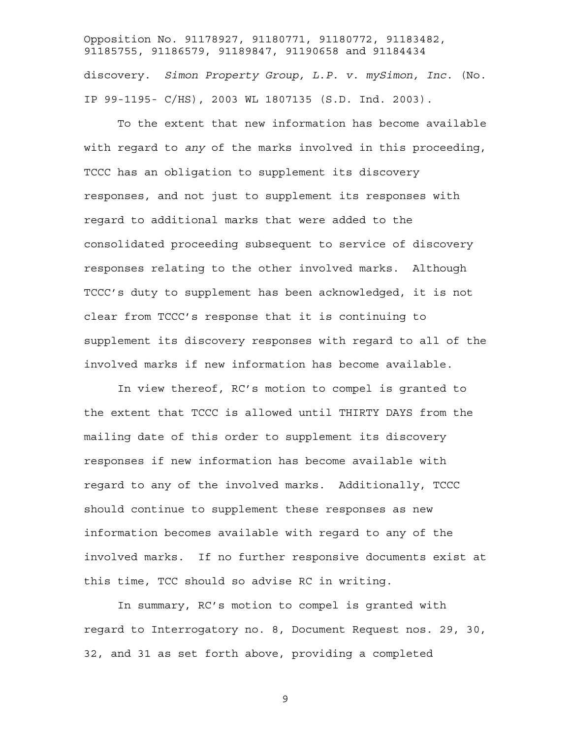Opposition No. 91178927, 91180771, 91180772, 91183482, 91185755, 91186579, 91189847, 91190658 and 91184434 discovery. *Simon Property Group, L.P. v. mySimon, Inc*. (No. IP 99-1195- C/HS), 2003 WL 1807135 (S.D. Ind. 2003).

To the extent that new information has become available with regard to *any* of the marks involved in this proceeding, TCCC has an obligation to supplement its discovery responses, and not just to supplement its responses with regard to additional marks that were added to the consolidated proceeding subsequent to service of discovery responses relating to the other involved marks. Although TCCC's duty to supplement has been acknowledged, it is not clear from TCCC's response that it is continuing to supplement its discovery responses with regard to all of the involved marks if new information has become available.

In view thereof, RC's motion to compel is granted to the extent that TCCC is allowed until THIRTY DAYS from the mailing date of this order to supplement its discovery responses if new information has become available with regard to any of the involved marks. Additionally, TCCC should continue to supplement these responses as new information becomes available with regard to any of the involved marks. If no further responsive documents exist at this time, TCC should so advise RC in writing.

In summary, RC's motion to compel is granted with regard to Interrogatory no. 8, Document Request nos. 29, 30, 32, and 31 as set forth above, providing a completed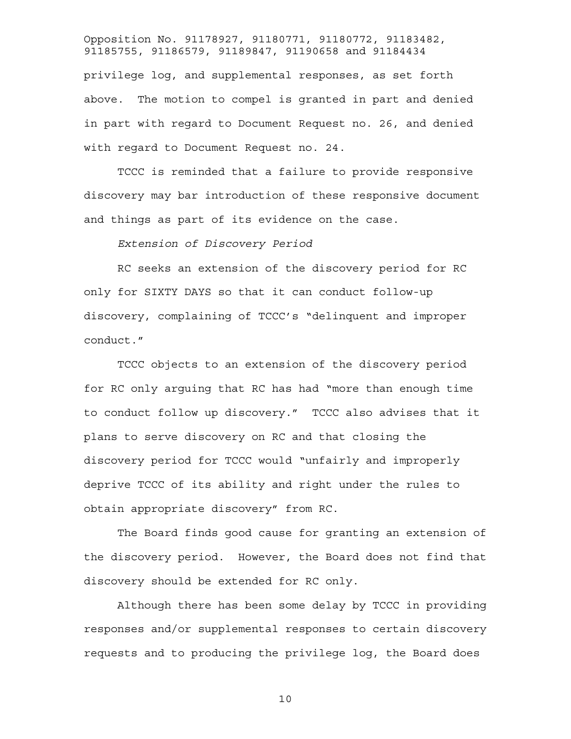Opposition No. 91178927, 91180771, 91180772, 91183482, 91185755, 91186579, 91189847, 91190658 and 91184434 privilege log, and supplemental responses, as set forth above. The motion to compel is granted in part and denied in part with regard to Document Request no. 26, and denied with regard to Document Request no. 24.

TCCC is reminded that a failure to provide responsive discovery may bar introduction of these responsive document and things as part of its evidence on the case.

*Extension of Discovery Period* 

 RC seeks an extension of the discovery period for RC only for SIXTY DAYS so that it can conduct follow-up discovery, complaining of TCCC's "delinquent and improper conduct."

 TCCC objects to an extension of the discovery period for RC only arguing that RC has had "more than enough time to conduct follow up discovery." TCCC also advises that it plans to serve discovery on RC and that closing the discovery period for TCCC would "unfairly and improperly deprive TCCC of its ability and right under the rules to obtain appropriate discovery" from RC.

 The Board finds good cause for granting an extension of the discovery period. However, the Board does not find that discovery should be extended for RC only.

Although there has been some delay by TCCC in providing responses and/or supplemental responses to certain discovery requests and to producing the privilege log, the Board does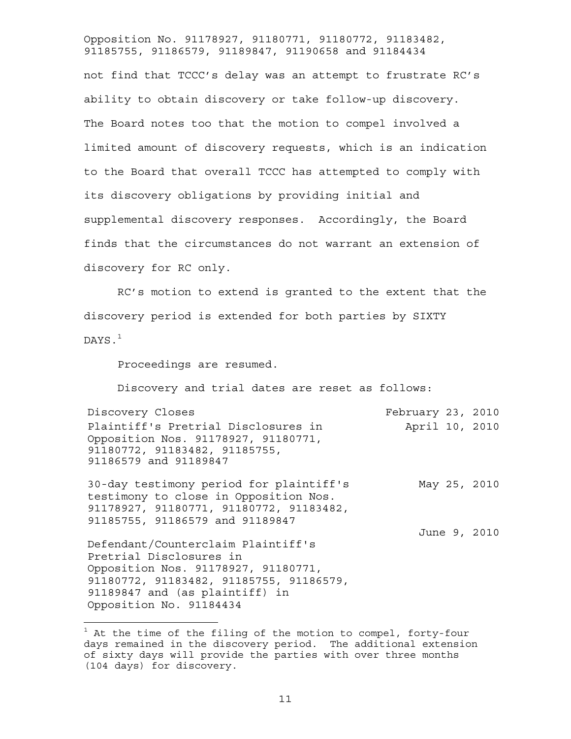not find that TCCC's delay was an attempt to frustrate RC's ability to obtain discovery or take follow-up discovery. The Board notes too that the motion to compel involved a limited amount of discovery requests, which is an indication to the Board that overall TCCC has attempted to comply with its discovery obligations by providing initial and supplemental discovery responses. Accordingly, the Board finds that the circumstances do not warrant an extension of discovery for RC only.

RC's motion to extend is granted to the extent that the discovery period is extended for both parties by SIXTY DAYS.<sup>1</sup>

Proceedings are resumed.

Discovery and trial dates are reset as follows:

| Discovery Closes<br>February 23, 2010                                                         |  |
|-----------------------------------------------------------------------------------------------|--|
| Plaintiff's Pretrial Disclosures in<br>April 10, 2010                                         |  |
| Opposition Nos. 91178927, 91180771,<br>91180772, 91183482, 91185755,<br>91186579 and 91189847 |  |
|                                                                                               |  |

30-day testimony period for plaintiff's testimony to close in Opposition Nos. 91178927, 91180771, 91180772, 91183482, 91185755, 91186579 and 91189847 May 25, 2010

June 9, 2010

Defendant/Counterclaim Plaintiff's Pretrial Disclosures in Opposition Nos. 91178927, 91180771, 91180772, 91183482, 91185755, 91186579, 91189847 and (as plaintiff) in Opposition No. 91184434

÷.

 $^1$  At the time of the filing of the motion to compel, forty-four days remained in the discovery period. The additional extension of sixty days will provide the parties with over three months (104 days) for discovery.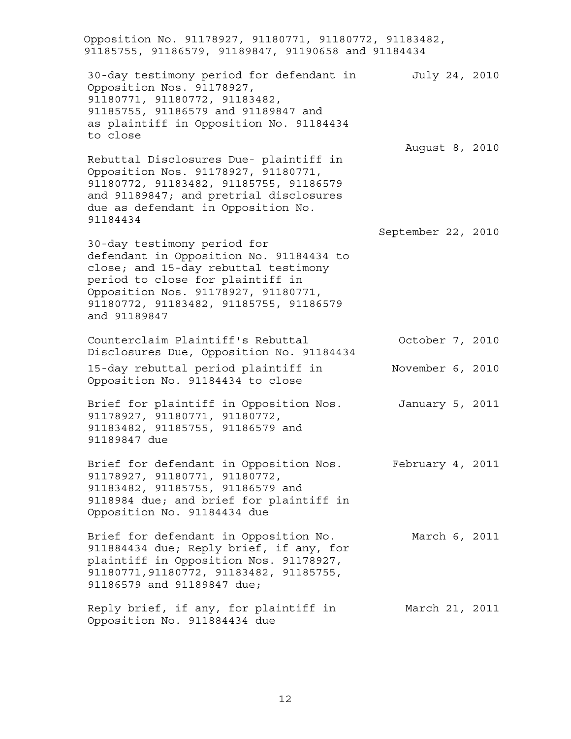Opposition No. 91178927, 91180771, 91180772, 91183482, 91185755, 91186579, 91189847, 91190658 and 91184434 30-day testimony period for defendant in Opposition Nos. 91178927, 91180771, 91180772, 91183482, 91185755, 91186579 and 91189847 and as plaintiff in Opposition No. 91184434 to close July 24, 2010 Rebuttal Disclosures Due- plaintiff in Opposition Nos. 91178927, 91180771, 91180772, 91183482, 91185755, 91186579 and 91189847; and pretrial disclosures due as defendant in Opposition No. 91184434 August 8, 2010 30-day testimony period for defendant in Opposition No. 91184434 to close; and 15-day rebuttal testimony period to close for plaintiff in Opposition Nos. 91178927, 91180771, 91180772, 91183482, 91185755, 91186579 and 91189847 September 22, 2010 Counterclaim Plaintiff's Rebuttal Disclosures Due, Opposition No. 91184434 October 7, 2010 15-day rebuttal period plaintiff in Opposition No. 91184434 to close November 6, 2010 Brief for plaintiff in Opposition Nos. 91178927, 91180771, 91180772, 91183482, 91185755, 91186579 and 91189847 due January 5, 2011 Brief for defendant in Opposition Nos. February 4, 2011 91178927, 91180771, 91180772, 91183482, 91185755, 91186579 and 9118984 due; and brief for plaintiff in Opposition No. 91184434 due Brief for defendant in Opposition No. 911884434 due; Reply brief, if any, for plaintiff in Opposition Nos. 91178927, 91180771,91180772, 91183482, 91185755, 91186579 and 91189847 due; March 6, 2011 Reply brief, if any, for plaintiff in March 21, 2011Opposition No. 911884434 due